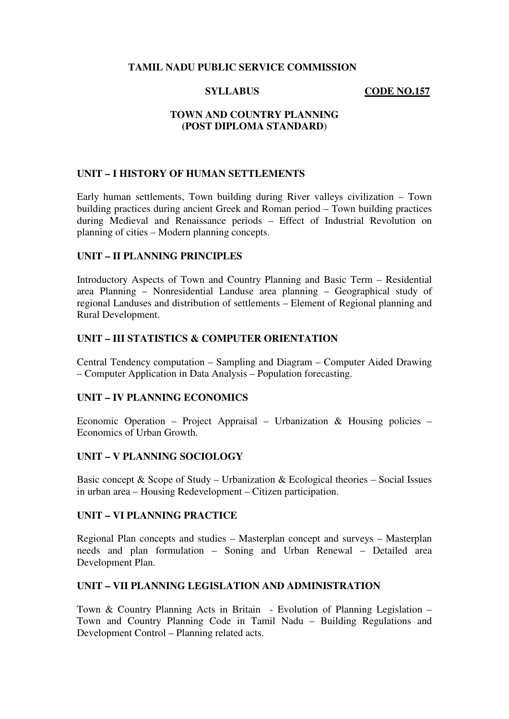## **TAMIL NADU PUBLIC SERVICE COMMISSION**

**SYLLABUS CODE NO.157** 

# **TOWN AND COUNTRY PLANNING (POST DIPLOMA STANDARD**)

# **UNIT – I HISTORY OF HUMAN SETTLEMENTS**

Early human settlements, Town building during River valleys civilization – Town building practices during ancient Greek and Roman period – Town building practices during Medieval and Renaissance periods – Effect of Industrial Revolution on planning of cities – Modern planning concepts.

# **UNIT – II PLANNING PRINCIPLES**

Introductory Aspects of Town and Country Planning and Basic Term – Residential area Planning – Nonresidential Landuse area planning – Geographical study of regional Landuses and distribution of settlements – Element of Regional planning and Rural Development.

# **UNIT – III STATISTICS & COMPUTER ORIENTATION**

Central Tendency computation – Sampling and Diagram – Computer Aided Drawing – Computer Application in Data Analysis – Population forecasting.

# **UNIT – IV PLANNING ECONOMICS**

Economic Operation – Project Appraisal – Urbanization & Housing policies – Economics of Urban Growth.

#### **UNIT – V PLANNING SOCIOLOGY**

Basic concept  $&$  Scope of Study – Urbanization  $&$  Ecological theories – Social Issues in urban area – Housing Redevelopment – Citizen participation.

#### **UNIT – VI PLANNING PRACTICE**

Regional Plan concepts and studies – Masterplan concept and surveys – Masterplan needs and plan formulation – Soning and Urban Renewal – Detailed area Development Plan.

#### **UNIT – VII PLANNING LEGISLATION AND ADMINISTRATION**

Town & Country Planning Acts in Britain - Evolution of Planning Legislation – Town and Country Planning Code in Tamil Nadu – Building Regulations and Development Control – Planning related acts.